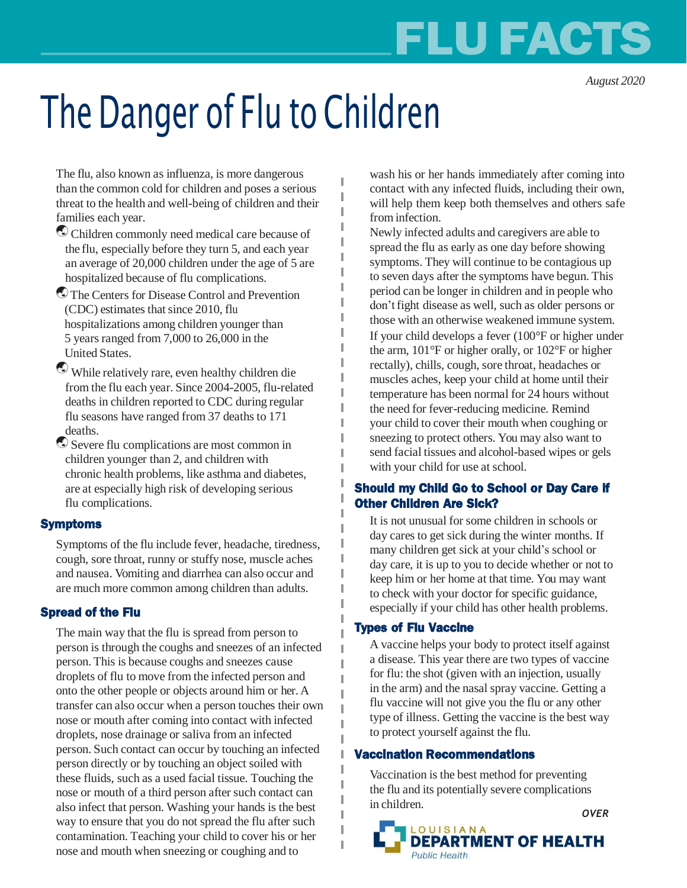# **FLU FACTS**

*August 2020*

# The Danger of Flu to Children

I

The flu, also known as influenza, is more dangerous than the common cold for children and poses a serious threat to the health and well-being of children and their families each year.

- Children commonly need medical care because of the flu, especially before they turn 5, and each year an average of 20,000 children under the age of 5 are hospitalized because of flu complications.
- The Centers for Disease Control and Prevention (CDC) estimates that since 2010, flu hospitalizations among children younger than 5 years ranged from 7,000 to 26,000 in the United States.
- While relatively rare, even healthy children die from the flu each year. Since 2004-2005, flu-related deaths in children reported to CDC during regular flu seasons have ranged from 37 deaths to 171 deaths.
- Severe flu complications are most common in children younger than 2, and children with chronic health problems, like asthma and diabetes, are at especially high risk of developing serious flu complications.

#### Symptoms

Symptoms of the flu include fever, headache, tiredness, cough, sore throat, runny or stuffy nose, muscle aches and nausea. Vomiting and diarrhea can also occur and are much more common among children than adults.

## Spread of the Flu

The main way that the flu is spread from person to person is through the coughs and sneezes of an infected person. This is because coughs and sneezes cause droplets of flu to move from the infected person and onto the other people or objects around him or her.A transfer can also occur when a person touches their own nose or mouth after coming into contact with infected droplets, nose drainage or saliva from an infected person. Such contact can occur by touching an infected person directly or by touching an object soiled with these fluids, such as a used facial tissue. Touching the nose or mouth of a third person after such contact can also infect that person. Washing your hands is the best way to ensure that you do not spread the flu after such contamination. Teaching your child to cover his or her nose and mouth when sneezing or coughing and to

wash his or her hands immediately after coming into contact with any infected fluids, including their own, will help them keep both themselves and others safe from infection.

Newly infected adults and caregivers are able to spread the flu as early as one day before showing symptoms. They will continue to be contagious up to seven days after the symptoms have begun. This period can be longer in children and in people who don'tfight disease as well, such as older persons or those with an otherwise weakened immune system. If your child develops a fever (100°F or higher under the arm, 101°F or higher orally, or 102°F or higher rectally), chills, cough, sore throat, headaches or muscles aches, keep your child at home until their temperature has been normal for 24 hours without the need for fever-reducing medicine. Remind your child to cover their mouth when coughing or sneezing to protect others. You may also want to send facial tissues and alcohol-based wipes or gels with your child for use at school.

### Should my Child Go to School or Day Care if Other Children Are Sick?

It is not unusual for some children in schools or day cares to get sick during the winter months. If many children get sick at your child's school or day care, it is up to you to decide whether or not to keep him or her home at that time. You may want to check with your doctor for specific guidance, especially if your child has other health problems.

## Types of Flu Vaccine

A vaccine helps your body to protect itself against a disease. This year there are two types of vaccine for flu: the shot (given with an injection, usually in the arm) and the nasal spray vaccine. Getting a flu vaccine will not give you the flu or any other type of illness. Getting the vaccine is the best way to protect yourself against the flu.

#### Vaccination Recommendations

Vaccination is the best method for preventing the flu and its potentially severe complications in children.